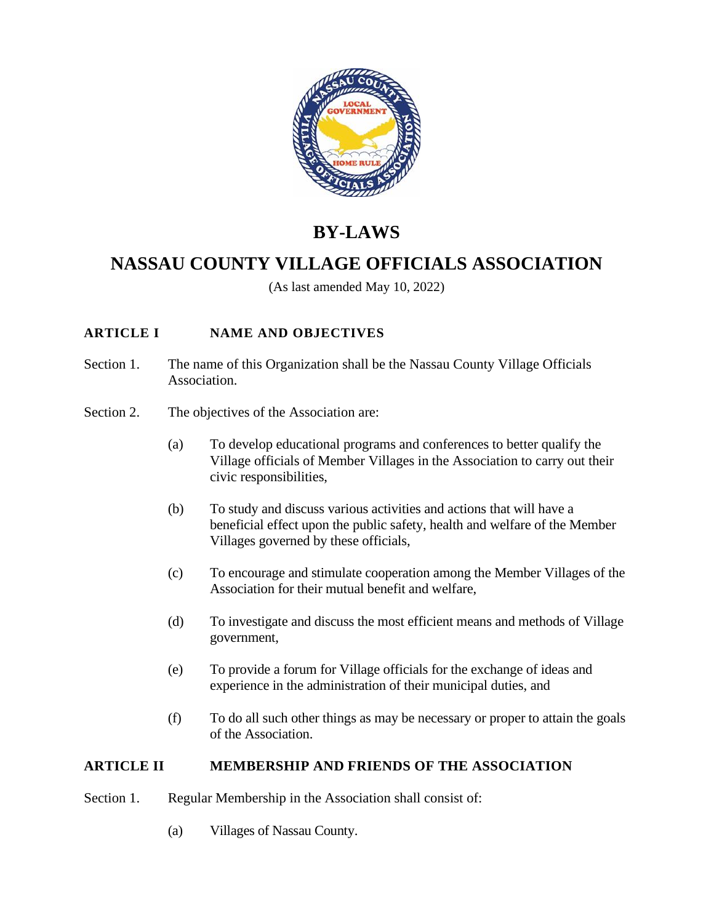

# **BY-LAWS**

## **NASSAU COUNTY VILLAGE OFFICIALS ASSOCIATION**

(As last amended May 10, 2022)

## **ARTICLE I NAME AND OBJECTIVES**

- Section 1. The name of this Organization shall be the Nassau County Village Officials Association.
- Section 2. The objectives of the Association are:
	- (a) To develop educational programs and conferences to better qualify the Village officials of Member Villages in the Association to carry out their civic responsibilities,
	- (b) To study and discuss various activities and actions that will have a beneficial effect upon the public safety, health and welfare of the Member Villages governed by these officials,
	- (c) To encourage and stimulate cooperation among the Member Villages of the Association for their mutual benefit and welfare,
	- (d) To investigate and discuss the most efficient means and methods of Village government,
	- (e) To provide a forum for Village officials for the exchange of ideas and experience in the administration of their municipal duties, and
	- (f) To do all such other things as may be necessary or proper to attain the goals of the Association.

## **ARTICLE II MEMBERSHIP AND FRIENDS OF THE ASSOCIATION**

- Section 1. Regular Membership in the Association shall consist of:
	- (a) Villages of Nassau County.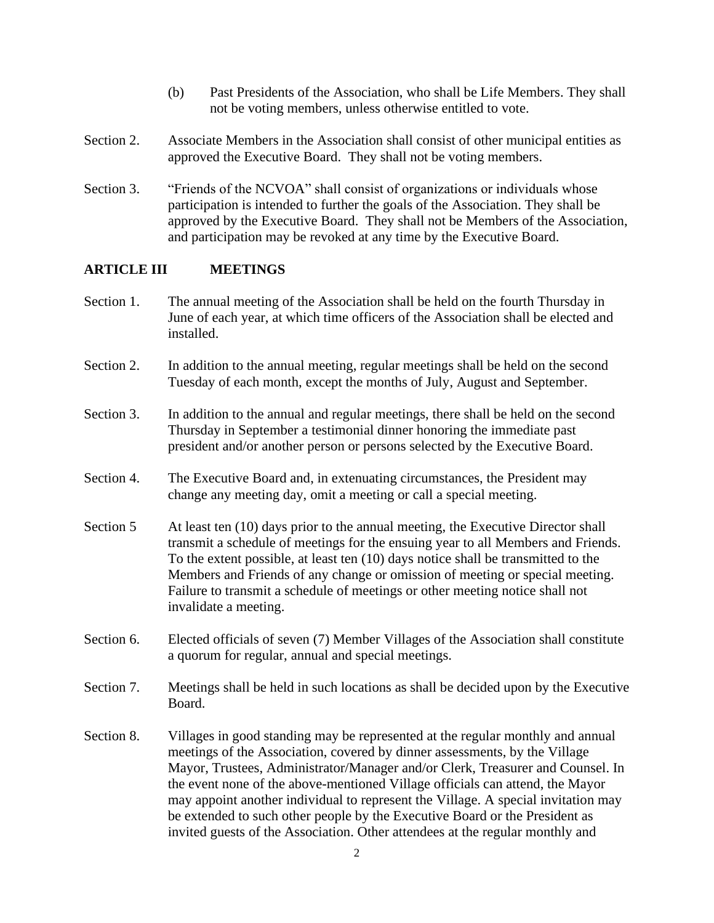- (b) Past Presidents of the Association, who shall be Life Members. They shall not be voting members, unless otherwise entitled to vote.
- Section 2. Associate Members in the Association shall consist of other municipal entities as approved the Executive Board. They shall not be voting members.
- Section 3. "Friends of the NCVOA" shall consist of organizations or individuals whose participation is intended to further the goals of the Association. They shall be approved by the Executive Board. They shall not be Members of the Association, and participation may be revoked at any time by the Executive Board.

## **ARTICLE III MEETINGS**

- Section 1. The annual meeting of the Association shall be held on the fourth Thursday in June of each year, at which time officers of the Association shall be elected and installed.
- Section 2. In addition to the annual meeting, regular meetings shall be held on the second Tuesday of each month, except the months of July, August and September.
- Section 3. In addition to the annual and regular meetings, there shall be held on the second Thursday in September a testimonial dinner honoring the immediate past president and/or another person or persons selected by the Executive Board.
- Section 4. The Executive Board and, in extenuating circumstances, the President may change any meeting day, omit a meeting or call a special meeting.
- Section 5 At least ten (10) days prior to the annual meeting, the Executive Director shall transmit a schedule of meetings for the ensuing year to all Members and Friends. To the extent possible, at least ten (10) days notice shall be transmitted to the Members and Friends of any change or omission of meeting or special meeting. Failure to transmit a schedule of meetings or other meeting notice shall not invalidate a meeting.
- Section 6. Elected officials of seven (7) Member Villages of the Association shall constitute a quorum for regular, annual and special meetings.
- Section 7. Meetings shall be held in such locations as shall be decided upon by the Executive Board.
- Section 8. Villages in good standing may be represented at the regular monthly and annual meetings of the Association, covered by dinner assessments, by the Village Mayor, Trustees, Administrator/Manager and/or Clerk, Treasurer and Counsel. In the event none of the above-mentioned Village officials can attend, the Mayor may appoint another individual to represent the Village. A special invitation may be extended to such other people by the Executive Board or the President as invited guests of the Association. Other attendees at the regular monthly and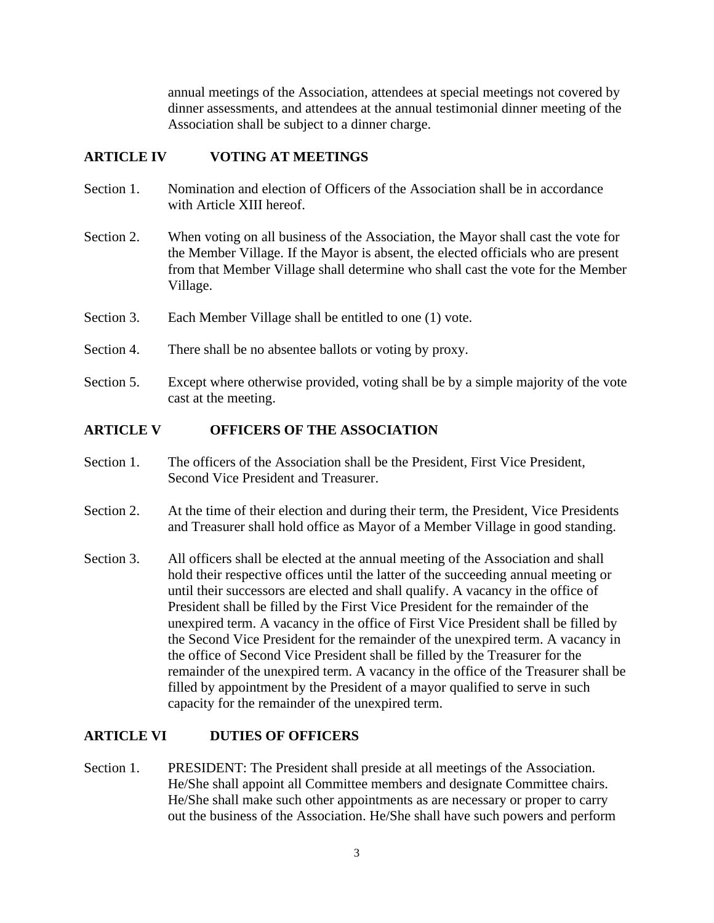annual meetings of the Association, attendees at special meetings not covered by dinner assessments, and attendees at the annual testimonial dinner meeting of the Association shall be subject to a dinner charge.

#### **ARTICLE IV VOTING AT MEETINGS**

- Section 1. Nomination and election of Officers of the Association shall be in accordance with Article XIII hereof.
- Section 2. When voting on all business of the Association, the Mayor shall cast the vote for the Member Village. If the Mayor is absent, the elected officials who are present from that Member Village shall determine who shall cast the vote for the Member Village.
- Section 3. Each Member Village shall be entitled to one (1) vote.
- Section 4. There shall be no absentee ballots or voting by proxy.
- Section 5. Except where otherwise provided, voting shall be by a simple majority of the vote cast at the meeting.

#### **ARTICLE V OFFICERS OF THE ASSOCIATION**

- Section 1. The officers of the Association shall be the President, First Vice President, Second Vice President and Treasurer.
- Section 2. At the time of their election and during their term, the President, Vice Presidents and Treasurer shall hold office as Mayor of a Member Village in good standing.
- Section 3. All officers shall be elected at the annual meeting of the Association and shall hold their respective offices until the latter of the succeeding annual meeting or until their successors are elected and shall qualify. A vacancy in the office of President shall be filled by the First Vice President for the remainder of the unexpired term. A vacancy in the office of First Vice President shall be filled by the Second Vice President for the remainder of the unexpired term. A vacancy in the office of Second Vice President shall be filled by the Treasurer for the remainder of the unexpired term. A vacancy in the office of the Treasurer shall be filled by appointment by the President of a mayor qualified to serve in such capacity for the remainder of the unexpired term.

#### **ARTICLE VI DUTIES OF OFFICERS**

Section 1. PRESIDENT: The President shall preside at all meetings of the Association. He/She shall appoint all Committee members and designate Committee chairs. He/She shall make such other appointments as are necessary or proper to carry out the business of the Association. He/She shall have such powers and perform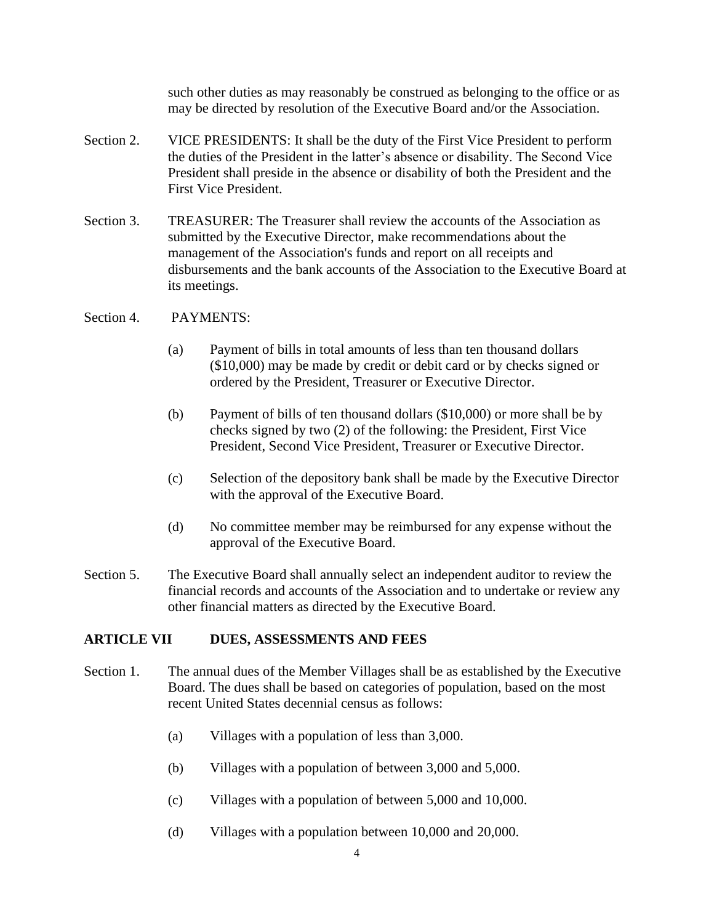such other duties as may reasonably be construed as belonging to the office or as may be directed by resolution of the Executive Board and/or the Association.

- Section 2. VICE PRESIDENTS: It shall be the duty of the First Vice President to perform the duties of the President in the latter's absence or disability. The Second Vice President shall preside in the absence or disability of both the President and the First Vice President.
- Section 3. TREASURER: The Treasurer shall review the accounts of the Association as submitted by the Executive Director, make recommendations about the management of the Association's funds and report on all receipts and disbursements and the bank accounts of the Association to the Executive Board at its meetings.

#### Section 4. PAYMENTS:

- (a) Payment of bills in total amounts of less than ten thousand dollars (\$10,000) may be made by credit or debit card or by checks signed or ordered by the President, Treasurer or Executive Director.
- (b) Payment of bills of ten thousand dollars (\$10,000) or more shall be by checks signed by two (2) of the following: the President, First Vice President, Second Vice President, Treasurer or Executive Director.
- (c) Selection of the depository bank shall be made by the Executive Director with the approval of the Executive Board.
- (d) No committee member may be reimbursed for any expense without the approval of the Executive Board.
- Section 5. The Executive Board shall annually select an independent auditor to review the financial records and accounts of the Association and to undertake or review any other financial matters as directed by the Executive Board.

## **ARTICLE VII DUES, ASSESSMENTS AND FEES**

- Section 1. The annual dues of the Member Villages shall be as established by the Executive Board. The dues shall be based on categories of population, based on the most recent United States decennial census as follows:
	- (a) Villages with a population of less than 3,000.
	- (b) Villages with a population of between 3,000 and 5,000.
	- (c) Villages with a population of between 5,000 and 10,000.
	- (d) Villages with a population between 10,000 and 20,000.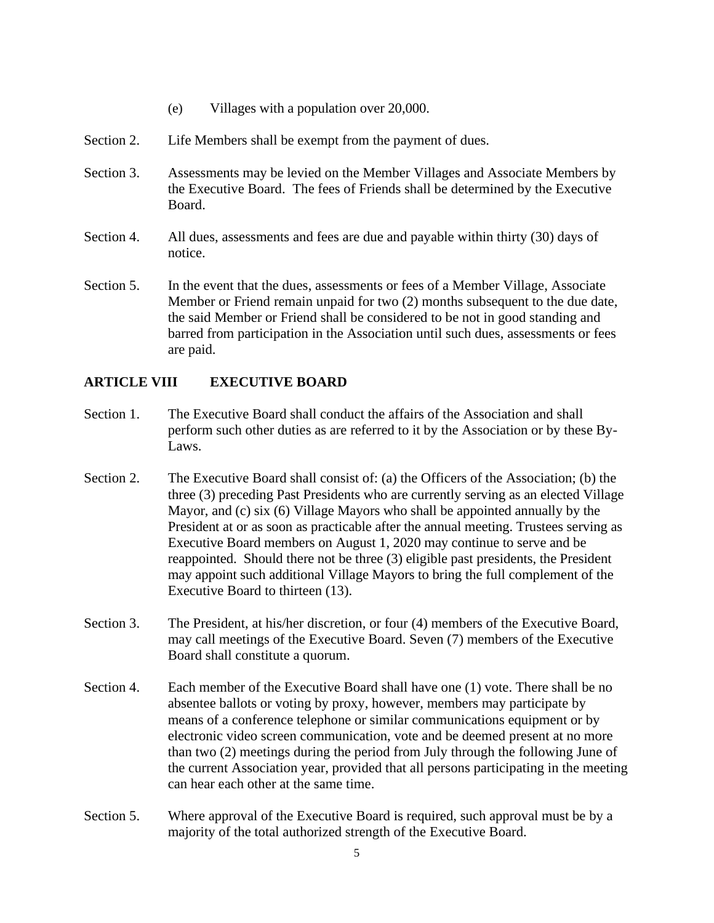- (e) Villages with a population over 20,000.
- Section 2. Life Members shall be exempt from the payment of dues.
- Section 3. Assessments may be levied on the Member Villages and Associate Members by the Executive Board. The fees of Friends shall be determined by the Executive Board.
- Section 4. All dues, assessments and fees are due and payable within thirty (30) days of notice.
- Section 5. In the event that the dues, assessments or fees of a Member Village, Associate Member or Friend remain unpaid for two (2) months subsequent to the due date, the said Member or Friend shall be considered to be not in good standing and barred from participation in the Association until such dues, assessments or fees are paid.

## **ARTICLE VIII EXECUTIVE BOARD**

- Section 1. The Executive Board shall conduct the affairs of the Association and shall perform such other duties as are referred to it by the Association or by these By-Laws.
- Section 2. The Executive Board shall consist of: (a) the Officers of the Association; (b) the three (3) preceding Past Presidents who are currently serving as an elected Village Mayor, and (c) six (6) Village Mayors who shall be appointed annually by the President at or as soon as practicable after the annual meeting. Trustees serving as Executive Board members on August 1, 2020 may continue to serve and be reappointed. Should there not be three (3) eligible past presidents, the President may appoint such additional Village Mayors to bring the full complement of the Executive Board to thirteen (13).
- Section 3. The President, at his/her discretion, or four (4) members of the Executive Board, may call meetings of the Executive Board. Seven (7) members of the Executive Board shall constitute a quorum.
- Section 4. Each member of the Executive Board shall have one (1) vote. There shall be no absentee ballots or voting by proxy, however, members may participate by means of a conference telephone or similar communications equipment or by electronic video screen communication, vote and be deemed present at no more than two (2) meetings during the period from July through the following June of the current Association year, provided that all persons participating in the meeting can hear each other at the same time.
- Section 5. Where approval of the Executive Board is required, such approval must be by a majority of the total authorized strength of the Executive Board.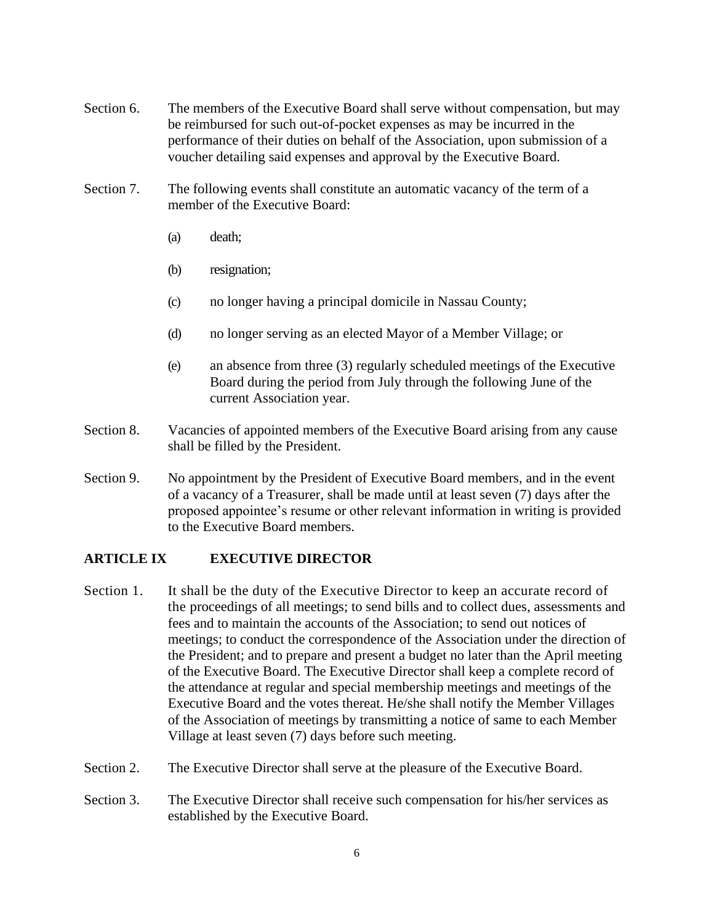- Section 6. The members of the Executive Board shall serve without compensation, but may be reimbursed for such out-of-pocket expenses as may be incurred in the performance of their duties on behalf of the Association, upon submission of a voucher detailing said expenses and approval by the Executive Board.
- Section 7. The following events shall constitute an automatic vacancy of the term of a member of the Executive Board:
	- (a) death;
	- (b) resignation;
	- (c) no longer having a principal domicile in Nassau County;
	- (d) no longer serving as an elected Mayor of a Member Village; or
	- (e) an absence from three (3) regularly scheduled meetings of the Executive Board during the period from July through the following June of the current Association year.
- Section 8. Vacancies of appointed members of the Executive Board arising from any cause shall be filled by the President.
- Section 9. No appointment by the President of Executive Board members, and in the event of a vacancy of a Treasurer, shall be made until at least seven (7) days after the proposed appointee's resume or other relevant information in writing is provided to the Executive Board members.

## **ARTICLE IX EXECUTIVE DIRECTOR**

- Section 1. It shall be the duty of the Executive Director to keep an accurate record of the proceedings of all meetings; to send bills and to collect dues, assessments and fees and to maintain the accounts of the Association; to send out notices of meetings; to conduct the correspondence of the Association under the direction of the President; and to prepare and present a budget no later than the April meeting of the Executive Board. The Executive Director shall keep a complete record of the attendance at regular and special membership meetings and meetings of the Executive Board and the votes thereat. He/she shall notify the Member Villages of the Association of meetings by transmitting a notice of same to each Member Village at least seven (7) days before such meeting.
- Section 2. The Executive Director shall serve at the pleasure of the Executive Board.
- Section 3. The Executive Director shall receive such compensation for his/her services as established by the Executive Board.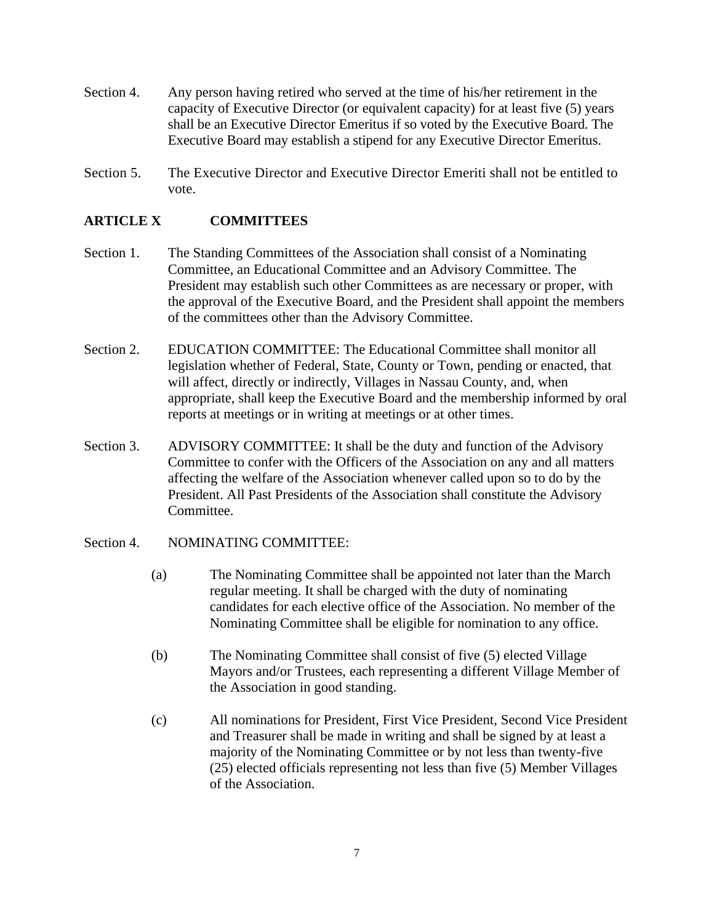- Section 4. Any person having retired who served at the time of his/her retirement in the capacity of Executive Director (or equivalent capacity) for at least five (5) years shall be an Executive Director Emeritus if so voted by the Executive Board. The Executive Board may establish a stipend for any Executive Director Emeritus.
- Section 5. The Executive Director and Executive Director Emeriti shall not be entitled to vote.

#### **ARTICLE X COMMITTEES**

- Section 1. The Standing Committees of the Association shall consist of a Nominating Committee, an Educational Committee and an Advisory Committee. The President may establish such other Committees as are necessary or proper, with the approval of the Executive Board, and the President shall appoint the members of the committees other than the Advisory Committee.
- Section 2. EDUCATION COMMITTEE: The Educational Committee shall monitor all legislation whether of Federal, State, County or Town, pending or enacted, that will affect, directly or indirectly, Villages in Nassau County, and, when appropriate, shall keep the Executive Board and the membership informed by oral reports at meetings or in writing at meetings or at other times.
- Section 3. ADVISORY COMMITTEE: It shall be the duty and function of the Advisory Committee to confer with the Officers of the Association on any and all matters affecting the welfare of the Association whenever called upon so to do by the President. All Past Presidents of the Association shall constitute the Advisory Committee.

#### Section 4. NOMINATING COMMITTEE:

- (a) The Nominating Committee shall be appointed not later than the March regular meeting. It shall be charged with the duty of nominating candidates for each elective office of the Association. No member of the Nominating Committee shall be eligible for nomination to any office.
- (b) The Nominating Committee shall consist of five (5) elected Village Mayors and/or Trustees, each representing a different Village Member of the Association in good standing.
- (c) All nominations for President, First Vice President, Second Vice President and Treasurer shall be made in writing and shall be signed by at least a majority of the Nominating Committee or by not less than twenty-five (25) elected officials representing not less than five (5) Member Villages of the Association.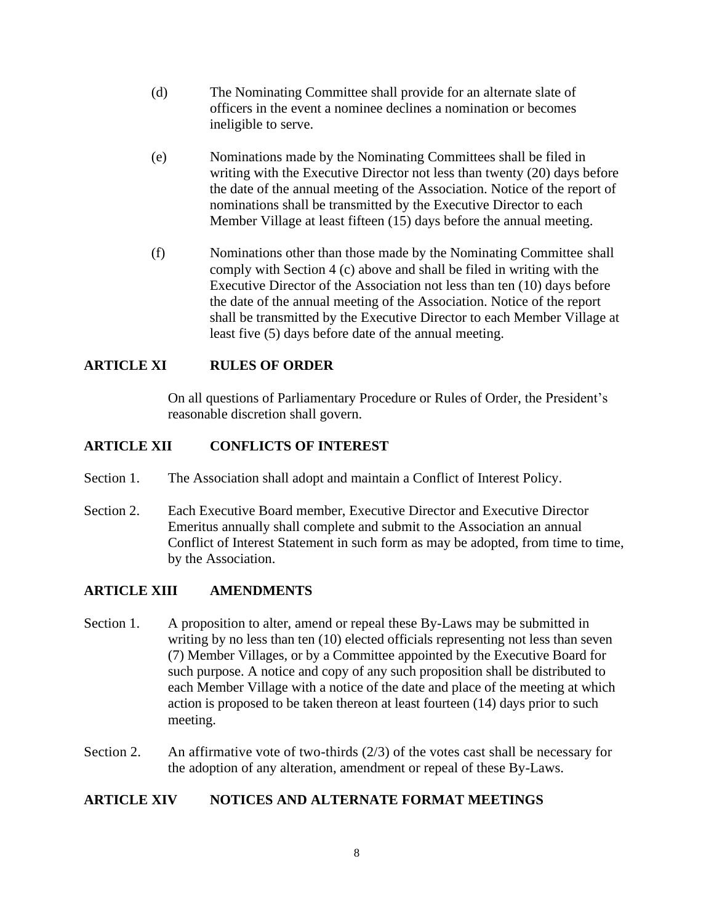- (d) The Nominating Committee shall provide for an alternate slate of officers in the event a nominee declines a nomination or becomes ineligible to serve.
- (e) Nominations made by the Nominating Committees shall be filed in writing with the Executive Director not less than twenty (20) days before the date of the annual meeting of the Association. Notice of the report of nominations shall be transmitted by the Executive Director to each Member Village at least fifteen (15) days before the annual meeting.
- (f) Nominations other than those made by the Nominating Committee shall comply with Section 4 (c) above and shall be filed in writing with the Executive Director of the Association not less than ten (10) days before the date of the annual meeting of the Association. Notice of the report shall be transmitted by the Executive Director to each Member Village at least five (5) days before date of the annual meeting.

## **ARTICLE XI RULES OF ORDER**

On all questions of Parliamentary Procedure or Rules of Order, the President's reasonable discretion shall govern.

## **ARTICLE XII CONFLICTS OF INTEREST**

- Section 1. The Association shall adopt and maintain a Conflict of Interest Policy.
- Section 2. Each Executive Board member, Executive Director and Executive Director Emeritus annually shall complete and submit to the Association an annual Conflict of Interest Statement in such form as may be adopted, from time to time, by the Association.

#### **ARTICLE XIII AMENDMENTS**

- Section 1. A proposition to alter, amend or repeal these By-Laws may be submitted in writing by no less than ten (10) elected officials representing not less than seven (7) Member Villages, or by a Committee appointed by the Executive Board for such purpose. A notice and copy of any such proposition shall be distributed to each Member Village with a notice of the date and place of the meeting at which action is proposed to be taken thereon at least fourteen (14) days prior to such meeting.
- Section 2. An affirmative vote of two-thirds (2/3) of the votes cast shall be necessary for the adoption of any alteration, amendment or repeal of these By-Laws.

#### **ARTICLE XIV NOTICES AND ALTERNATE FORMAT MEETINGS**